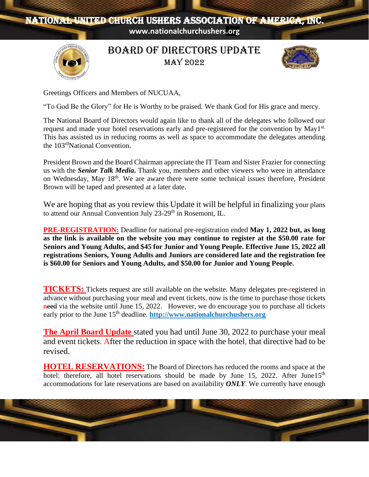# NATIONAL UNITED CHURCH USHERS ASSOCIATION OF AMERICA, INC.

**www.nationalchurchushers.org**



BOARD OF DIRECTORS update may 2022



Greetings Officers and Members of NUCUAA,

"To God Be the Glory" for He is Worthy to be praised. We thank God for His grace and mercy.

The National Board of Directors would again like to thank all of the delegates who followed our request and made your hotel reservations early and pre-registered for the convention by May1<sup>st.</sup> This has assisted us in reducing rooms as well as space to accommodate the delegates attending the 103<sup>rd</sup>National Convention.

President Brown and the Board Chairman appreciate the IT Team and Sister Frazier for connecting us with the *Senior Talk Media***.** Thank you, members and other viewers who were in attendance on Wednesday, May 18<sup>th</sup>. We are aware there were some technical issues therefore, President Brown will be taped and presented at a later date.

We are hoping that as you review this Update it will be helpful in finalizing your plans to attend our Annual Convention July 23-29<sup>th</sup> in Rosemont, IL.

**PRE-REGISTRATION:** Deadline for national pre-registration ended **May 1, 2022 but, as long as the link is available on the website you may continue to register at the \$50.00 rate for Seniors and Young Adults, and \$45 for Junior and Young People. Effective June 15, 2022 all registrations Seniors, Young Adults and Juniors are considered late and the registration fee is \$60.00 for Seniors and Young Adults, and \$50.00 for Junior and Young People.**

**TICKETS:** Tickets request are still available on the website. Many delegates pre-registered in advance without purchasing your meal and event tickets, now is the time to purchase those tickets need via the website until June 15, 2022.However, we do encourage you to purchase all tickets early prior to the June 15<sup>th</sup> deadline. **http://www[.nationalchurchushers.org](about:blank)** 

**The April Board Update** stated you had until June 30, 2022 to purchase your meal and event tickets. After the reduction in space with the hotel, that directive had to be revised.

**HOTEL RESERVATIONS:** The Board of Directors has reduced the rooms and space at the hotel; therefore, all hotel reservations should be made by June 15, 2022. After June15<sup>th</sup> accommodations for late reservations are based on availability *ONLY*. We currently have enough

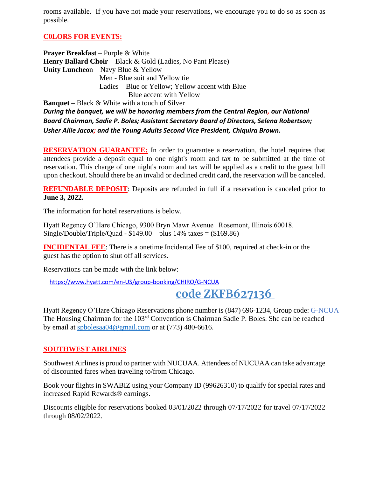rooms available. If you have not made your reservations, we encourage you to do so as soon as possible.

### **C0LORS FOR EVENTS:**

**Prayer Breakfast** – Purple & White **Henry Ballard Choir –** Black & Gold (Ladies, No Pant Please) **Unity Luncheo**n – Navy Blue & Yellow Men - Blue suit and Yellow tie Ladies – Blue or Yellow; Yellow accent with Blue Blue accent with Yellow **Banquet** – Black & White with a touch of Silver *During the banquet, we will be honoring members from the Central Region, our National* 

*Board Chairman, Sadie P. Boles; Assistant Secretary Board of Directors, Selena Robertson; Usher Allie Jacox; and the Young Adults Second Vice President, Chiquira Brown.*

**RESERVATION GUARANTEE:** In order to guarantee a reservation, the hotel requires that attendees provide a deposit equal to one night's room and tax to be submitted at the time of reservation. This charge of one night's room and tax will be applied as a credit to the guest bill upon checkout. Should there be an invalid or declined credit card, the reservation will be canceled.

**REFUNDABLE DEPOSIT:** Deposits are refunded in full if a reservation is canceled prior to **June 3, 2022.**

The information for hotel reservations is below.

Hyatt Regency O'Hare Chicago, 9300 Bryn Mawr Avenue | Rosemont, Illinois 60018. Single/Double/Triple/Quad -  $$149.00 - plus 14%$  taxes = (\$169.86)

**INCIDENTAL FEE**: There is a onetime Incidental Fee of \$100, required at check-in or the guest has the option to shut off all services.

Reservations can be made with the link below:

**a**[https://www.hyatt.com/en-US/group-booking/CHIRO/G-NCUA](about:blank)

# **online click on discount [code ZKFB627136](about:blank)**

Hyatt Regency O'Hare Chicago Reservations phone number is (847) 696-1234, Group code: G-NCUA The Housing Chairman for the 103rd Convention is Chairman Sadie P. Boles. She can be reached by email at [spbolesaa04@gmail.com](about:blank) or at (773) 480-6616.

#### **SOUTHWEST AIRLINES**

Southwest Airlines is proud to partner with NUCUAA. Attendees of NUCUAA can take advantage of discounted fares when traveling to/from Chicago.

Book your flights in SWABIZ using your Company ID (99626310) to qualify for special rates and increased Rapid Rewards® earnings.

Discounts eligible for reservations booked 03/01/2022 through 07/17/2022 for travel 07/17/2022 through 08/02/2022.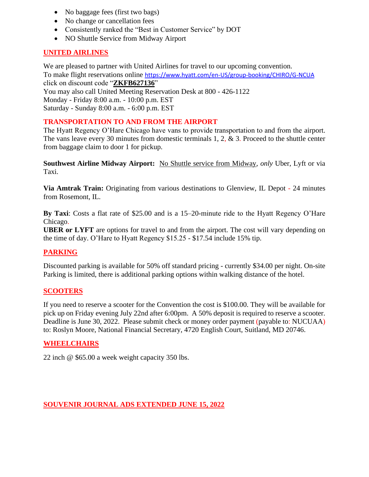- No baggage fees (first two bags)
- No change or cancellation fees
- Consistently ranked the "Best in Customer Service" by DOT
- NO Shuttle Service from Midway Airport

#### **UNITED AIRLINES**

We are pleased to partner with United Airlines for travel to our upcoming convention. To make flight reservations online [https://www.hyatt.com/en-US/group-booking/CHIRO/G-NCUA](about:blank) click on discount code "**ZKFB627136**" You may also call United Meeting Reservation Desk at 800 - 426-1122

Monday - Friday 8:00 a.m. - 10:00 p.m. EST

Saturday - Sunday 8:00 a.m. - 6:00 p.m. EST

## **TRANSPORTATION TO AND FROM THE AIRPORT**

The Hyatt Regency O'Hare Chicago have vans to provide transportation to and from the airport. The vans leave every 30 minutes from domestic terminals 1, 2, & 3. Proceed to the shuttle center from baggage claim to door 1 for pickup.

**Southwest Airline Midway Airport:** No Shuttle service from Midway, *only* Uber, Lyft or via Taxi.

**Via Amtrak Train:** Originating from various destinations to Glenview, IL Depot - 24 minutes from Rosemont, IL.

**By Taxi**: Costs a flat rate of \$25.00 and is a 15–20-minute ride to the Hyatt Regency O'Hare Chicago.

**UBER or LYFT** are options for travel to and from the airport. The cost will vary depending on the time of day. O'Hare to Hyatt Regency \$15.25 - \$17.54 include 15% tip.

#### **PARKING**

Discounted parking is available for 50% off standard pricing - currently \$34.00 per night. On-site Parking is limited, there is additional parking options within walking distance of the hotel.

#### **SCOOTERS**

If you need to reserve a scooter for the Convention the cost is \$100.00. They will be available for pick up on Friday evening July 22nd after 6:00pm. A 50% deposit is required to reserve a scooter. Deadline is June 30, 2022. Please submit check or money order payment (payable to: NUCUAA) to: Roslyn Moore, National Financial Secretary, 4720 English Court, Suitland, MD 20746.

#### **WHEELCHAIRS**

22 inch @ \$65.00 a week weight capacity 350 lbs.

#### **SOUVENIR JOURNAL ADS EXTENDED JUNE 15, 2022**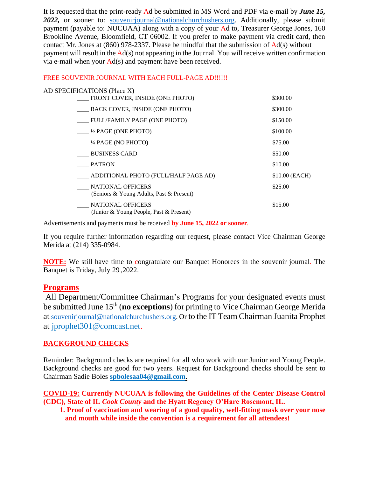It is requested that the print-ready Ad be submitted in MS Word and PDF via e-mail by *June 15, 2022,* or sooner to: souvenirjournal@nationalchurchushers.org. Additionally, please submit payment (payable to: NUCUAA) along with a copy of your Ad to, Treasurer George Jones, 160 Brookline Avenue, Bloomfield, CT 06002. If you prefer to make payment via credit card, then contact Mr. Jones at (860) 978-2337. Please be mindful that the submission of Ad(s) without payment will result in the Ad(s) not appearing in the Journal. You will receive written confirmation via e-mail when your Ad(s) and payment have been received.

#### FREE SOUVENIR JOURNAL WITH EACH FULL-PAGE AD!!!!!!

| \$300.00       |
|----------------|
| \$300.00       |
| \$150.00       |
| \$100.00       |
| \$75.00        |
| \$50.00        |
| \$10.00        |
| \$10.00 (EACH) |
| \$25.00        |
| \$15.00        |
|                |

Advertisements and payments must be received **by June 15, 2022 or sooner**.

If you require further information regarding our request, please contact Vice Chairman George Merida at (214) 335-0984.

**NOTE:** We still have time to congratulate our Banquet Honorees in the souvenir journal. The Banquet is Friday, July 29 ,2022.

#### **Programs**

All Department/Committee Chairman's Programs for your designated events must be submitted June 15th (**no exceptions**) for printing to Vice Chairman George Merida at souvenirjournal@nationalchurchushers.org. Or to the IT Team Chairman Juanita Prophet at jprophet301@comcast.net.

#### **BACKGROUND CHECKS**

Reminder: Background checks are required for all who work with our Junior and Young People. Background checks are good for two years. Request for Background checks should be sent to Chairman Sadie Boles **spbolesaa04@gmail.com**.

**COVID-19: Currently NUCUAA is following the Guidelines of the Center Disease Control (CDC), State of IL** *Cook County* **and the Hyatt Regency O'Hare Rosemont, IL.**

 **1. Proof of vaccination and wearing of a good quality, well-fitting mask over your nose and mouth while inside the convention is a requirement for all attendees!**